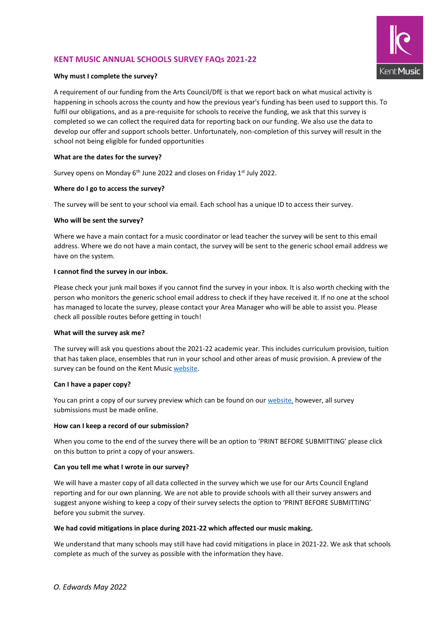# **KENT MUSIC ANNUAL SCHOOLS SURVEY FAQs 2021-22**



# **Why must I complete the survey?**

A requirement of our funding from the Arts Council/DfE is that we report back on what musical activity is happening in schools across the county and how the previous year's funding has been used to support this. To fulfil our obligations, and as a pre-requisite for schools to receive the funding, we ask that this survey is completed so we can collect the required data for reporting back on our funding. We also use the data to develop our offer and support schools better. Unfortunately, non-completion of this survey will result in the school not being eligible for funded opportunities

# **What are the dates for the survey?**

Survey opens on Monday 6<sup>th</sup> June 2022 and closes on Friday 1<sup>st</sup> July 2022.

# **Where do I go to access the survey?**

The survey will be sent to your school via email. Each school has a unique ID to access their survey.

## **Who will be sent the survey?**

Where we have a main contact for a music coordinator or lead teacher the survey will be sent to this email address. Where we do not have a main contact, the survey will be sent to the generic school email address we have on the system.

## **I cannot find the survey in our inbox.**

Please check your junk mail boxes if you cannot find the survey in your inbox. It is also worth checking with the person who monitors the generic school email address to check if they have received it. If no one at the school has managed to locate the survey, please contact your Area Manager who will be able to assist you. Please check all possible routes before getting in touch!

# **What will the survey ask me?**

The survey will ask you questions about the 2021-22 academic year. This includes curriculum provision, tuition that has taken place, ensembles that run in your school and other areas of music provision. A preview of the survey can be found on the Kent Music website.

# **Can I have a paper copy?**

You can print a copy of our survey preview which can be found on our website, however, all survey submissions must be made online.

# **How can I keep a record of our submission?**

When you come to the end of the survey there will be an option to 'PRINT BEFORE SUBMITTING' please click on this button to print a copy of your answers.

# **Can you tell me what I wrote in our survey?**

We will have a master copy of all data collected in the survey which we use for our Arts Council England reporting and for our own planning. We are not able to provide schools with all their survey answers and suggest anyone wishing to keep a copy of their survey selects the option to 'PRINT BEFORE SUBMITTING' before you submit the survey.

# **We had covid mitigations in place during 2021-22 which affected our music making.**

We understand that many schools may still have had covid mitigations in place in 2021-22. We ask that schools complete as much of the survey as possible with the information they have.